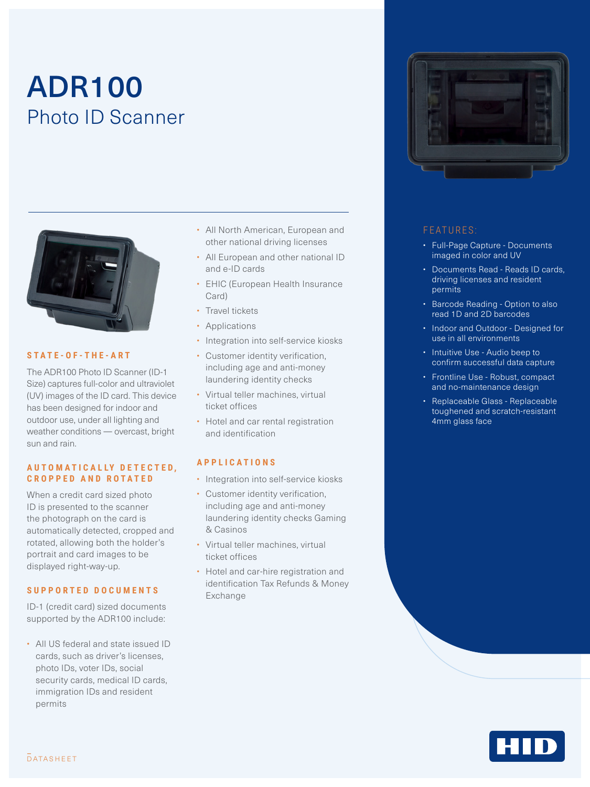# ADR100 Photo ID Scanner



#### **STATE-OF-THE-ART**

The ADR100 Photo ID Scanner (ID-1 Size) captures full-color and ultraviolet (UV) images of the ID card. This device has been designed for indoor and outdoor use, under all lighting and weather conditions — overcast, bright sun and rain.

#### **A U T O M A T I C A L LY D E T E C T E D , CROPPED AND ROTATED**

When a credit card sized photo ID is presented to the scanner the photograph on the card is automatically detected, cropped and rotated, allowing both the holder's portrait and card images to be displayed right-way-up.

#### **S U P P O R T E D D O C U M E N T S**

ID-1 (credit card) sized documents supported by the ADR100 include:

• All US federal and state issued ID cards, such as driver's licenses, photo IDs, voter IDs, social security cards, medical ID cards, immigration IDs and resident permits

- All North American, European and other national driving licenses
- All European and other national ID and e-ID cards
- EHIC (European Health Insurance Card)
- Travel tickets
- Applications
- Integration into self-service kiosks
- Customer identity verification, including age and anti-money laundering identity checks
- Virtual teller machines, virtual ticket offices
- Hotel and car rental registration and identification

#### **APPLICATIONS**

- Integration into self-service kiosks
- Customer identity verification, including age and anti-money laundering identity checks Gaming & Casinos
- Virtual teller machines, virtual ticket offices
- Hotel and car-hire registration and identification Tax Refunds & Money Exchange



#### FEATURES:

- Full-Page Capture Documents imaged in color and UV
- Documents Read Reads ID cards, driving licenses and resident permits
- Barcode Reading Option to also read 1D and 2D barcodes
- Indoor and Outdoor Designed for use in all environments
- Intuitive Use Audio beep to confirm successful data capture
- Frontline Use Robust, compact and no-maintenance design
- Replaceable Glass Replaceable toughened and scratch-resistant 4mm glass face